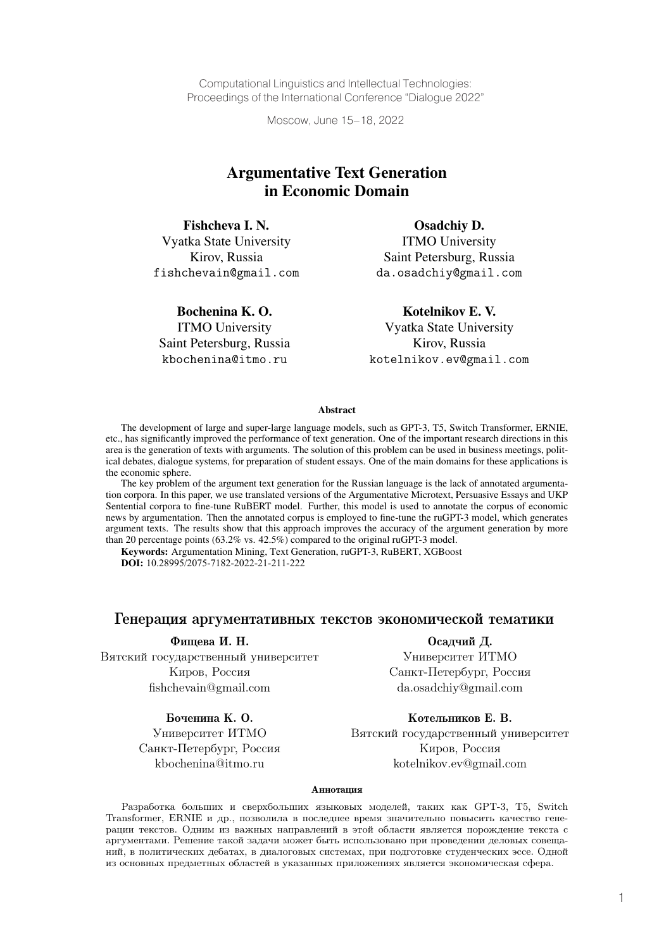Computational Linguistics and Intellectual Technologies: Proceedings of the International Conference "Dialogue 2022"

Moscow, June 15–18, 2022

# Argumentative Text Generation in Economic Domain

Fishcheva I. N. Vyatka State University Kirov, Russia fishchevain@gmail.com

Bochenina K. O. ITMO University Saint Petersburg, Russia kbochenina@itmo.ru

Osadchiy D. ITMO University Saint Petersburg, Russia da.osadchiy@gmail.com

Kotelnikov E. V. Vyatka State University

Kirov, Russia kotelnikov.ev@gmail.com

#### **Abstract**

The development of large and super-large language models, such as GPT-3, T5, Switch Transformer, ERNIE, etc., has significantly improved the performance of text generation. One of the important research directions in this area is the generation of texts with arguments. The solution of this problem can be used in business meetings, political debates, dialogue systems, for preparation of student essays. One of the main domains for these applications is the economic sphere.

The key problem of the argument text generation for the Russian language is the lack of annotated argumentation corpora. In this paper, we use translated versions of the Argumentative Microtext, Persuasive Essays and UKP Sentential corpora to fine-tune RuBERT model. Further, this model is used to annotate the corpus of economic news by argumentation. Then the annotated corpus is employed to fine-tune the ruGPT-3 model, which generates argument texts. The results show that this approach improves the accuracy of the argument generation by more than 20 percentage points (63.2% vs. 42.5%) compared to the original ruGPT-3 model.

Keywords: Argumentation Mining, Text Generation, ruGPT-3, RuBERT, XGBoost **DOI:** 10.28995/2075-7182-2022-21-211-222

#### Генерация аргументативных текстов экономической тематики

Фищева И. Н. Осадчий Д. Вятский государственный университет Университет ИТМО Киров, Россия Санкт-Петербург, Россия

fishchevain@gmail.com da.osadchiy@gmail.com

#### Боченина К. О. Котельников Е. В.

Университет ИТМО Вятский государственный университет Санкт-Петербург, Россия Киров, Россия kbochenina@itmo.ru kotelnikov.ev@gmail.com

#### Аннотация

Разработка больших и сверхбольших языковых моделей, таких как GPT-3, T5, Switch Transformer, ERNIE и др., позволила в последнее время значительно повысить качество генерации текстов. Одним из важных направлений в этой области является порождение текста с аргументами. Решение такой задачи может быть использовано при проведении деловых совещаний, в политических дебатах, в диалоговых системах, при подготовке студенческих эссе. Одной из основных предметных областей в указанных приложениях является экономическая сфера.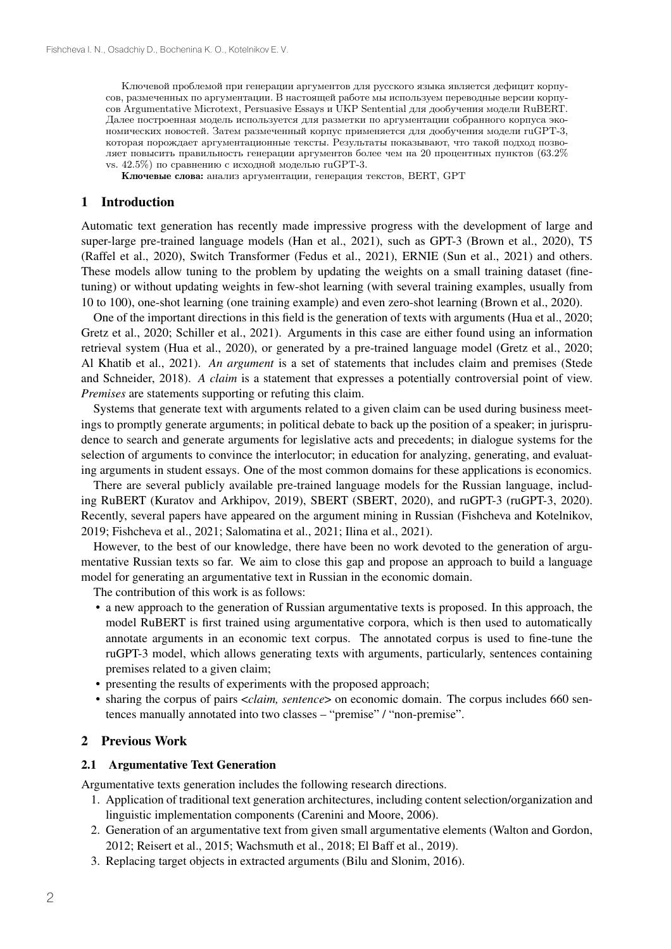Ключевой проблемой при генерации аргументов для русского языка является дефицит корпусов, размеченных по аргументации. В настоящей работе мы используем переводные версии корпусов Argumentative Microtext, Persuasive Essays и UKP Sentential для дообучения модели RuBERT. Далее построенная модель используется для разметки по аргументации собранного корпуса экономических новостей. Затем размеченный корпус применяется для дообучения модели ruGPT-3, которая порождает аргументационные тексты. Результаты показывают, что такой подход позволяет повысить правильность генерации аргументов более чем на 20 процентных пунктов (63.2% vs. 42.5%) по сравнению с исходной моделью ruGPT-3.

Ключевые слова: анализ аргументации, генерация текстов, BERT, GPT

#### 1 Introduction

Automatic text generation has recently made impressive progress with the development of large and super-large pre-trained language models (Han et al., 2021), such as GPT-3 (Brown et al., 2020), T5 (Raffel et al., 2020), Switch Transformer (Fedus et al., 2021), ERNIE (Sun et al., 2021) and others. These models allow tuning to the problem by updating the weights on a small training dataset (finetuning) or without updating weights in few-shot learning (with several training examples, usually from 10 to 100), one-shot learning (one training example) and even zero-shot learning (Brown et al., 2020).

One of the important directions in this field is the generation of texts with arguments (Hua et al., 2020; Gretz et al., 2020; Schiller et al., 2021). Arguments in this case are either found using an information retrieval system (Hua et al., 2020), or generated by a pre-trained language model (Gretz et al., 2020; Al Khatib et al., 2021). *An argument* is a set of statements that includes claim and premises (Stede and Schneider, 2018). *A claim* is a statement that expresses a potentially controversial point of view. *Premises* are statements supporting or refuting this claim.

Systems that generate text with arguments related to a given claim can be used during business meetings to promptly generate arguments; in political debate to back up the position of a speaker; in jurisprudence to search and generate arguments for legislative acts and precedents; in dialogue systems for the selection of arguments to convince the interlocutor; in education for analyzing, generating, and evaluating arguments in student essays. One of the most common domains for these applications is economics.

There are several publicly available pre-trained language models for the Russian language, including RuBERT (Kuratov and Arkhipov, 2019), SBERT (SBERT, 2020), and ruGPT-3 (ruGPT-3, 2020). Recently, several papers have appeared on the argument mining in Russian (Fishcheva and Kotelnikov, 2019; Fishcheva et al., 2021; Salomatina et al., 2021; Ilina et al., 2021).

However, to the best of our knowledge, there have been no work devoted to the generation of argumentative Russian texts so far. We aim to close this gap and propose an approach to build a language model for generating an argumentative text in Russian in the economic domain.

The contribution of this work is as follows:

- a new approach to the generation of Russian argumentative texts is proposed. In this approach, the model RuBERT is first trained using argumentative corpora, which is then used to automatically annotate arguments in an economic text corpus. The annotated corpus is used to fine-tune the ruGPT-3 model, which allows generating texts with arguments, particularly, sentences containing premises related to a given claim;
- presenting the results of experiments with the proposed approach;
- sharing the corpus of pairs <*claim, sentence*> on economic domain. The corpus includes 660 sentences manually annotated into two classes – "premise" / "non-premise".

## 2 Previous Work

### 2.1 Argumentative Text Generation

Argumentative texts generation includes the following research directions.

- 1. Application of traditional text generation architectures, including content selection/organization and linguistic implementation components (Carenini and Moore, 2006).
- 2. Generation of an argumentative text from given small argumentative elements (Walton and Gordon, 2012; Reisert et al., 2015; Wachsmuth et al., 2018; El Baff et al., 2019).
- 3. Replacing target objects in extracted arguments (Bilu and Slonim, 2016).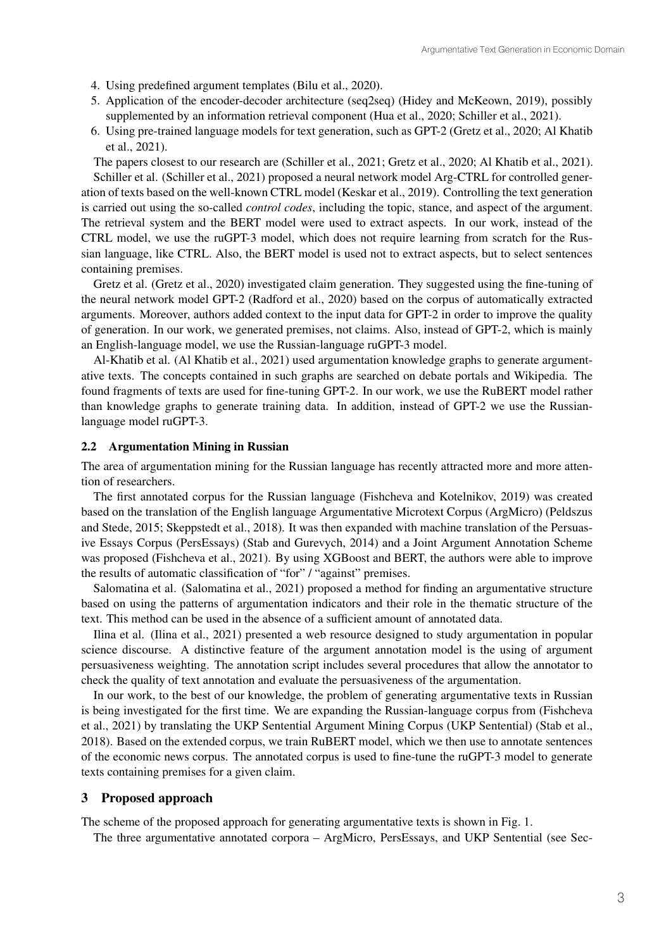- 4. Using predefined argument templates (Bilu et al., 2020).
- 5. Application of the encoder-decoder architecture (seq2seq) (Hidey and McKeown, 2019), possibly supplemented by an information retrieval component (Hua et al., 2020; Schiller et al., 2021).
- 6. Using pre-trained language models for text generation, such as GPT-2 (Gretz et al., 2020; Al Khatib et al., 2021).

The papers closest to our research are (Schiller et al., 2021; Gretz et al., 2020; Al Khatib et al., 2021). Schiller et al. (Schiller et al., 2021) proposed a neural network model Arg-CTRL for controlled generation of texts based on the well-known CTRL model (Keskar et al., 2019). Controlling the text generation is carried out using the so-called *control codes*, including the topic, stance, and aspect of the argument. The retrieval system and the BERT model were used to extract aspects. In our work, instead of the CTRL model, we use the ruGPT-3 model, which does not require learning from scratch for the Russian language, like CTRL. Also, the BERT model is used not to extract aspects, but to select sentences containing premises.

Gretz et al. (Gretz et al., 2020) investigated claim generation. They suggested using the fine-tuning of the neural network model GPT-2 (Radford et al., 2020) based on the corpus of automatically extracted arguments. Moreover, authors added context to the input data for GPT-2 in order to improve the quality of generation. In our work, we generated premises, not claims. Also, instead of GPT-2, which is mainly an English-language model, we use the Russian-language ruGPT-3 model.

Al-Khatib et al. (Al Khatib et al., 2021) used argumentation knowledge graphs to generate argumentative texts. The concepts contained in such graphs are searched on debate portals and Wikipedia. The found fragments of texts are used for fine-tuning GPT-2. In our work, we use the RuBERT model rather than knowledge graphs to generate training data. In addition, instead of GPT-2 we use the Russianlanguage model ruGPT-3.

#### 2.2 Argumentation Mining in Russian

The area of argumentation mining for the Russian language has recently attracted more and more attention of researchers.

The first annotated corpus for the Russian language (Fishcheva and Kotelnikov, 2019) was created based on the translation of the English language Argumentative Microtext Corpus (ArgMicro) (Peldszus and Stede, 2015; Skeppstedt et al., 2018). It was then expanded with machine translation of the Persuasive Essays Corpus (PersEssays) (Stab and Gurevych, 2014) and a Joint Argument Annotation Scheme was proposed (Fishcheva et al., 2021). By using XGBoost and BERT, the authors were able to improve the results of automatic classification of "for" / "against" premises.

Salomatina et al. (Salomatina et al., 2021) proposed a method for finding an argumentative structure based on using the patterns of argumentation indicators and their role in the thematic structure of the text. This method can be used in the absence of a sufficient amount of annotated data.

Ilina et al. (Ilina et al., 2021) presented a web resource designed to study argumentation in popular science discourse. A distinctive feature of the argument annotation model is the using of argument persuasiveness weighting. The annotation script includes several procedures that allow the annotator to check the quality of text annotation and evaluate the persuasiveness of the argumentation.

In our work, to the best of our knowledge, the problem of generating argumentative texts in Russian is being investigated for the first time. We are expanding the Russian-language corpus from (Fishcheva et al., 2021) by translating the UKP Sentential Argument Mining Corpus (UKP Sentential) (Stab et al., 2018). Based on the extended corpus, we train RuBERT model, which we then use to annotate sentences of the economic news corpus. The annotated corpus is used to fine-tune the ruGPT-3 model to generate texts containing premises for a given claim.

## 3 Proposed approach

The scheme of the proposed approach for generating argumentative texts is shown in Fig. 1.

The three argumentative annotated corpora – ArgMicro, PersEssays, and UKP Sentential (see Sec-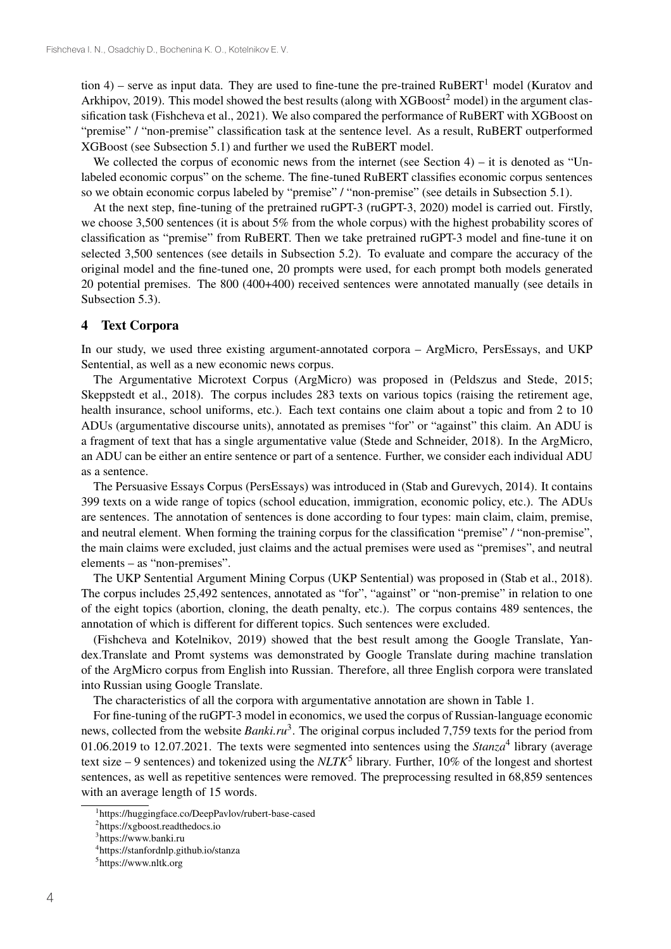tion 4) – serve as input data. They are used to fine-tune the pre-trained  $RuBERT<sup>1</sup>$  model (Kuratov and Arkhipov, 2019). This model showed the best results (along with XGBoost<sup>2</sup> model) in the argument classification task (Fishcheva et al., 2021). We also compared the performance of RuBERT with XGBoost on "premise" / "non-premise" classification task at the sentence level. As a result, RuBERT outperformed XGBoost (see Subsection 5.1) and further we used the RuBERT model.

We collected the corpus of economic news from the internet (see Section  $4$ ) – it is denoted as "Unlabeled economic corpus" on the scheme. The fine-tuned RuBERT classifies economic corpus sentences so we obtain economic corpus labeled by "premise" / "non-premise" (see details in Subsection 5.1).

At the next step, fine-tuning of the pretrained ruGPT-3 (ruGPT-3, 2020) model is carried out. Firstly, we choose 3,500 sentences (it is about 5% from the whole corpus) with the highest probability scores of classification as "premise" from RuBERT. Then we take pretrained ruGPT-3 model and fine-tune it on selected 3,500 sentences (see details in Subsection 5.2). To evaluate and compare the accuracy of the original model and the fine-tuned one, 20 prompts were used, for each prompt both models generated 20 potential premises. The 800 (400+400) received sentences were annotated manually (see details in Subsection 5.3).

#### 4 Text Corpora

In our study, we used three existing argument-annotated corpora – ArgMicro, PersEssays, and UKP Sentential, as well as a new economic news corpus.

The Argumentative Microtext Corpus (ArgMicro) was proposed in (Peldszus and Stede, 2015; Skeppstedt et al., 2018). The corpus includes 283 texts on various topics (raising the retirement age, health insurance, school uniforms, etc.). Each text contains one claim about a topic and from 2 to 10 ADUs (argumentative discourse units), annotated as premises "for" or "against" this claim. An ADU is a fragment of text that has a single argumentative value (Stede and Schneider, 2018). In the ArgMicro, an ADU can be either an entire sentence or part of a sentence. Further, we consider each individual ADU as a sentence.

The Persuasive Essays Corpus (PersEssays) was introduced in (Stab and Gurevych, 2014). It contains 399 texts on a wide range of topics (school education, immigration, economic policy, etc.). The ADUs are sentences. The annotation of sentences is done according to four types: main claim, claim, premise, and neutral element. When forming the training corpus for the classification "premise" / "non-premise", the main claims were excluded, just claims and the actual premises were used as "premises", and neutral elements – as "non-premises".

The UKP Sentential Argument Mining Corpus (UKP Sentential) was proposed in (Stab et al., 2018). The corpus includes 25,492 sentences, annotated as "for", "against" or "non-premise" in relation to one of the eight topics (abortion, cloning, the death penalty, etc.). The corpus contains 489 sentences, the annotation of which is different for different topics. Such sentences were excluded.

(Fishcheva and Kotelnikov, 2019) showed that the best result among the Google Translate, Yandex.Translate and Promt systems was demonstrated by Google Translate during machine translation of the ArgMicro corpus from English into Russian. Therefore, all three English corpora were translated into Russian using Google Translate.

The characteristics of all the corpora with argumentative annotation are shown in Table 1.

For fine-tuning of the ruGPT-3 model in economics, we used the corpus of Russian-language economic news, collected from the website *Banki.ru*<sup>3</sup>. The original corpus included 7,759 texts for the period from 01.06.2019 to 12.07.2021. The texts were segmented into sentences using the *Stanza*<sup>4</sup> library (average text size  $-9$  sentences) and tokenized using the *NLTK*<sup>5</sup> library. Further, 10% of the longest and shortest sentences, as well as repetitive sentences were removed. The preprocessing resulted in 68,859 sentences with an average length of 15 words.

<sup>1</sup> https://huggingface.co/DeepPavlov/rubert-base-cased

<sup>2</sup> https://xgboost.readthedocs.io

<sup>&</sup>lt;sup>3</sup>https://www.banki.ru

<sup>4</sup> https://stanfordnlp.github.io/stanza

<sup>5</sup> https://www.nltk.org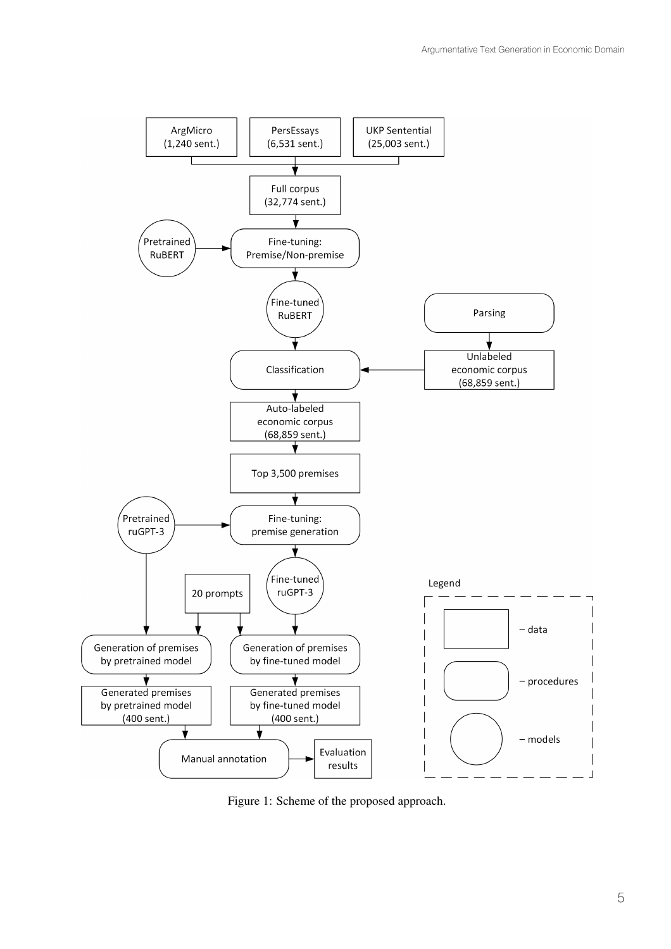

Figure 1: Scheme of the proposed approach.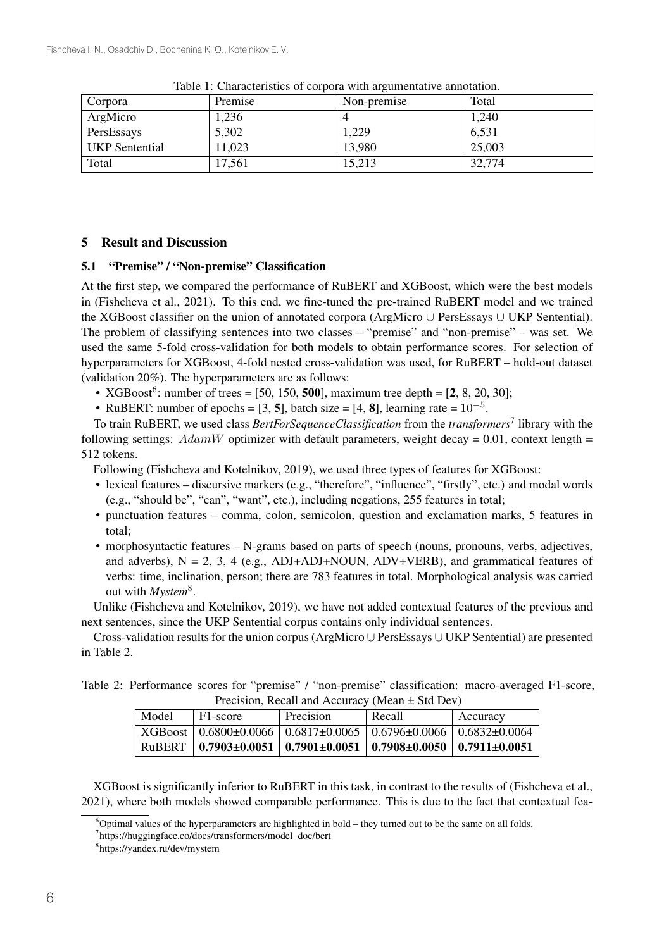| Corpora               | Premise | Non-premise | Total  |
|-----------------------|---------|-------------|--------|
| ArgMicro              | 1,236   |             | 1,240  |
| PersEssays            | 5,302   | 1,229       | 6,531  |
| <b>UKP</b> Sentential | 11,023  | 13,980      | 25,003 |
| Total                 | 17,561  | 15,213      | 32,774 |

Table 1: Characteristics of corpora with argumentative annotation.

# 5 Result and Discussion

### 5.1 "Premise" / "Non-premise" Classification

At the first step, we compared the performance of RuBERT and XGBoost, which were the best models in (Fishcheva et al., 2021). To this end, we fine-tuned the pre-trained RuBERT model and we trained the XGBoost classifier on the union of annotated corpora (ArgMicro ∪ PersEssays ∪ UKP Sentential). The problem of classifying sentences into two classes – "premise" and "non-premise" – was set. We used the same 5-fold cross-validation for both models to obtain performance scores. For selection of hyperparameters for XGBoost, 4-fold nested cross-validation was used, for RuBERT – hold-out dataset (validation 20%). The hyperparameters are as follows:

- XGBoost<sup>6</sup>: number of trees = [50, 150, **500**], maximum tree depth = [2, 8, 20, 30];
- RuBERT: number of epochs = [3, 5], batch size = [4, 8], learning rate =  $10^{-5}$ .

To train RuBERT, we used class *BertForSequenceClassification* from the *transformers*<sup>7</sup> library with the following settings:  $AdamW$  optimizer with default parameters, weight decay = 0.01, context length = 512 tokens.

Following (Fishcheva and Kotelnikov, 2019), we used three types of features for XGBoost:

- lexical features discursive markers (e.g., "therefore", "influence", "firstly", etc.) and modal words (e.g., "should be", "can", "want", etc.), including negations, 255 features in total;
- punctuation features comma, colon, semicolon, question and exclamation marks, 5 features in total;
- morphosyntactic features N-grams based on parts of speech (nouns, pronouns, verbs, adjectives, and adverbs),  $N = 2$ , 3, 4 (e.g., ADJ+ADJ+NOUN, ADV+VERB), and grammatical features of verbs: time, inclination, person; there are 783 features in total. Morphological analysis was carried out with *Mystem*8.

Unlike (Fishcheva and Kotelnikov, 2019), we have not added contextual features of the previous and next sentences, since the UKP Sentential corpus contains only individual sentences.

Cross-validation results for the union corpus (ArgMicro ∪ PersEssays ∪ UKP Sentential) are presented in Table 2.

Table 2: Performance scores for "premise" / "non-premise" classification: macro-averaged F1-score, Precision, Recall and Accuracy (Mean ± Std Dev)

| Model | F1-score                     | Precision                                                                  | Recall | Accuracy |
|-------|------------------------------|----------------------------------------------------------------------------|--------|----------|
|       |                              | $XGB$ oost   0.6800±0.0066   0.6817±0.0065   0.6796±0.0066   0.6832±0.0064 |        |          |
|       | RuBERT   $0.7903 \pm 0.0051$ | $\mid 0.7901 \pm 0.0051 \mid 0.7908 \pm 0.0050 \mid 0.7911 \pm 0.0051$     |        |          |

XGBoost is significantly inferior to RuBERT in this task, in contrast to the results of (Fishcheva et al., 2021), where both models showed comparable performance. This is due to the fact that contextual fea-

<sup>&</sup>lt;sup>6</sup>Optimal values of the hyperparameters are highlighted in bold – they turned out to be the same on all folds.

<sup>7</sup> https://huggingface.co/docs/transformers/model\_doc/bert

<sup>8</sup> https://yandex.ru/dev/mystem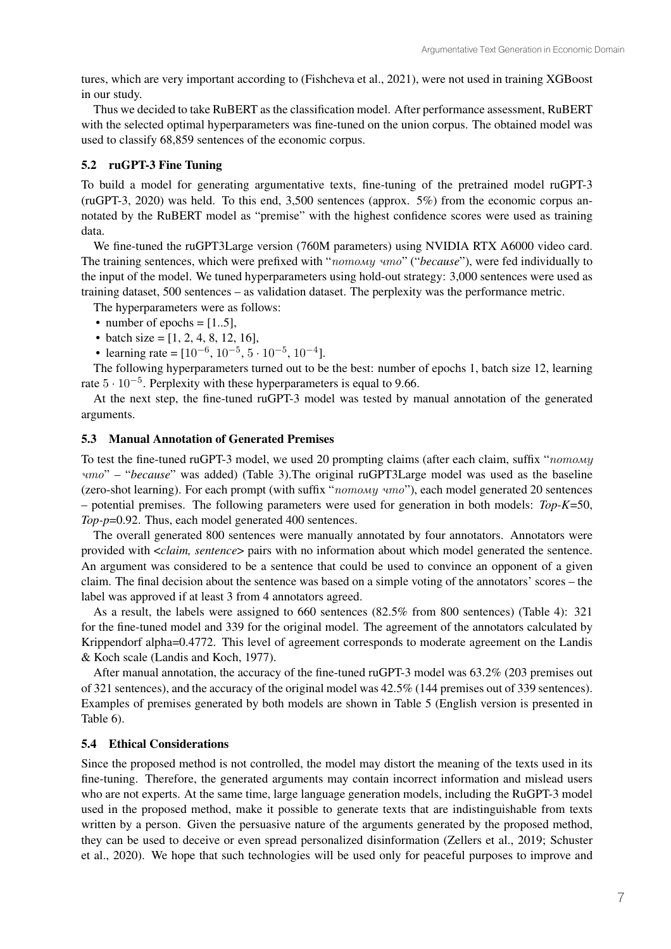tures, which are very important according to (Fishcheva et al., 2021), were not used in training XGBoost in our study.

Thus we decided to take RuBERT as the classification model. After performance assessment, RuBERT with the selected optimal hyperparameters was fine-tuned on the union corpus. The obtained model was used to classify 68,859 sentences of the economic corpus.

### 5.2 ruGPT-3 Fine Tuning

To build a model for generating argumentative texts, fine-tuning of the pretrained model ruGPT-3 (ruGPT-3, 2020) was held. To this end, 3,500 sentences (approx. 5%) from the economic corpus annotated by the RuBERT model as "premise" with the highest confidence scores were used as training data.

We fine-tuned the ruGPT3Large version (760M parameters) using NVIDIA RTX A6000 video card. The training sentences, which were prefixed with "*потому что*" ("*because*"), were fed individually to the input of the model. We tuned hyperparameters using hold-out strategy: 3,000 sentences were used as training dataset, 500 sentences – as validation dataset. The perplexity was the performance metric.

The hyperparameters were as follows:

- number of epochs  $=[1..5]$ ,
- batch size =  $[1, 2, 4, 8, 12, 16]$ ,

• learning rate =  $[10^{-6}, 10^{-5}, 5 \cdot 10^{-5}, 10^{-4}]$ .

The following hyperparameters turned out to be the best: number of epochs 1, batch size 12, learning rate  $5 \cdot 10^{-5}$ . Perplexity with these hyperparameters is equal to 9.66.

At the next step, the fine-tuned ruGPT-3 model was tested by manual annotation of the generated arguments.

### 5.3 Manual Annotation of Generated Premises

To test the fine-tuned ruGPT-3 model, we used 20 prompting claims (after each claim, suffix "*потому что*"–"*because*" was added) (Table 3).The original ruGPT3Large model was used as the baseline (zero-shot learning). For each prompt (with suffix "*потому что*"), each model generated 20 sentences – potential premises. The following parameters were used for generation in both models: *Top-K*=50, *Top-p*=0.92. Thus, each model generated 400 sentences.

The overall generated 800 sentences were manually annotated by four annotators. Annotators were provided with <*claim, sentence*> pairs with no information about which model generated the sentence. An argument was considered to be a sentence that could be used to convince an opponent of a given claim. The final decision about the sentence was based on a simple voting of the annotators' scores – the label was approved if at least 3 from 4 annotators agreed.

As a result, the labels were assigned to 660 sentences (82.5% from 800 sentences) (Table 4): 321 for the fine-tuned model and 339 for the original model. The agreement of the annotators calculated by Krippendorf alpha=0.4772. This level of agreement corresponds to moderate agreement on the Landis & Koch scale (Landis and Koch, 1977).

After manual annotation, the accuracy of the fine-tuned ruGPT-3 model was 63.2% (203 premises out of 321 sentences), and the accuracy of the original model was 42.5% (144 premises out of 339 sentences). Examples of premises generated by both models are shown in Table 5 (English version is presented in Table 6).

#### 5.4 Ethical Considerations

Since the proposed method is not controlled, the model may distort the meaning of the texts used in its fine-tuning. Therefore, the generated arguments may contain incorrect information and mislead users who are not experts. At the same time, large language generation models, including the RuGPT-3 model used in the proposed method, make it possible to generate texts that are indistinguishable from texts written by a person. Given the persuasive nature of the arguments generated by the proposed method, they can be used to deceive or even spread personalized disinformation (Zellers et al., 2019; Schuster et al., 2020). We hope that such technologies will be used only for peaceful purposes to improve and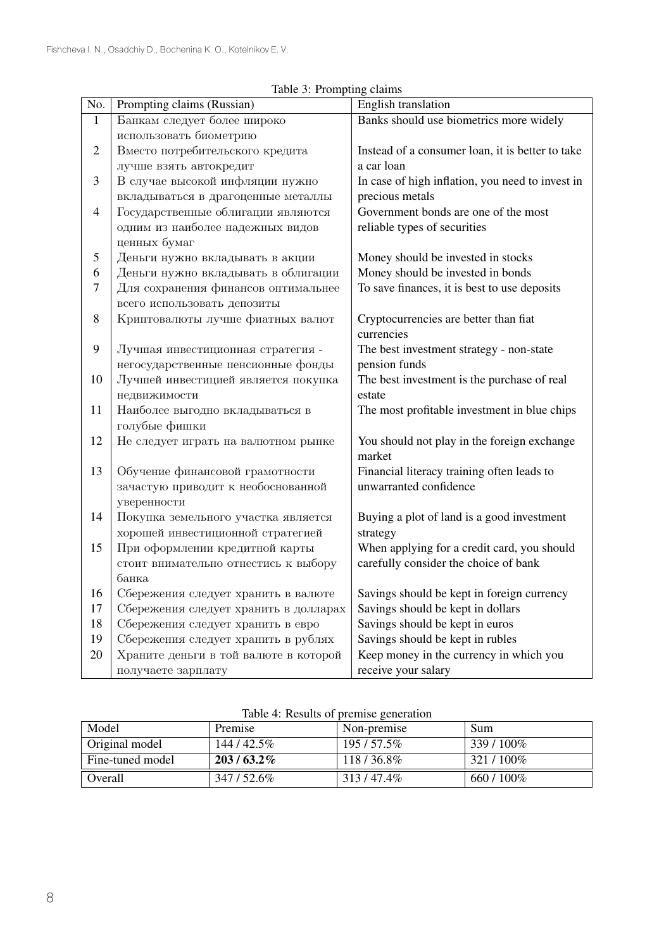| No.            | Prompting claims (Russian)            | English translation                              |
|----------------|---------------------------------------|--------------------------------------------------|
| $\mathbf{1}$   | Банкам следует более широко           | Banks should use biometrics more widely          |
|                | использовать биометрию                |                                                  |
| $\overline{2}$ | Вместо потребительского кредита       | Instead of a consumer loan, it is better to take |
|                | лучше взять автокредит                | a car loan                                       |
| 3              | В случае высокой инфляции нужно       | In case of high inflation, you need to invest in |
|                | вкладываться в драгоценные металлы    | precious metals                                  |
| $\overline{4}$ | Государственные облигации являются    | Government bonds are one of the most             |
|                | одним из наиболее надежных видов      | reliable types of securities                     |
|                | ценных бумаг                          |                                                  |
| 5              | Деньги нужно вкладывать в акции       | Money should be invested in stocks               |
| 6              | Деньги нужно вкладывать в облигации   | Money should be invested in bonds                |
| 7              | Для сохранения финансов оптимальнее   | To save finances, it is best to use deposits     |
|                | всего использовать депозиты           |                                                  |
| $8\,$          | Криптовалюты лучше фиатных валют      | Cryptocurrencies are better than fiat            |
|                |                                       | currencies                                       |
| 9              | Лучшая инвестиционная стратегия -     | The best investment strategy - non-state         |
|                | негосударственные пенсионные фонды    | pension funds                                    |
| 10             | Лучшей инвестицией является покупка   | The best investment is the purchase of real      |
|                | недвижимости                          | estate                                           |
| 11             | Наиболее выгодно вкладываться в       | The most profitable investment in blue chips     |
|                | голубые фишки                         |                                                  |
| 12             | Не следует играть на валютном рынке   | You should not play in the foreign exchange      |
|                |                                       | market                                           |
| 13             | Обучение финансовой грамотности       | Financial literacy training often leads to       |
|                | зачастую приводит к необоснованной    | unwarranted confidence                           |
|                | уверенности                           |                                                  |
| 14             | Покупка земельного участка является   | Buying a plot of land is a good investment       |
|                | хорошей инвестиционной стратегией     | strategy                                         |
| 15             | При оформлении кредитной карты        | When applying for a credit card, you should      |
|                | стоит внимательно отнестись к выбору  | carefully consider the choice of bank            |
|                | банка                                 |                                                  |
| 16             | Сбережения следует хранить в валюте   | Savings should be kept in foreign currency       |
| 17             | Сбережения следует хранить в долларах | Savings should be kept in dollars                |
| 18             | Сбережения следует хранить в евро     | Savings should be kept in euros                  |
| 19             | Сбережения следует хранить в рублях   | Savings should be kept in rubles                 |
| 20             | Храните деньги в той валюте в которой | Keep money in the currency in which you          |
|                | получаете зарплату                    | receive your salary                              |

Table 3: Prompting claims

| raore is regard or prefilled generation |              |              |            |  |
|-----------------------------------------|--------------|--------------|------------|--|
| Model                                   | Premise      | Non-premise  | <b>Sum</b> |  |
| Original model                          | 144 / 42.5%  | $195/57.5\%$ | 339/100%   |  |
| Fine-tuned model                        | $203/63.2\%$ | 118/36.8%    | 321/100\%  |  |
| Overall                                 | 347/52.6%    | 313/47.4%    | 660 / 100% |  |

| Table 4: Results of premise generation |  |  |  |  |  |
|----------------------------------------|--|--|--|--|--|
|----------------------------------------|--|--|--|--|--|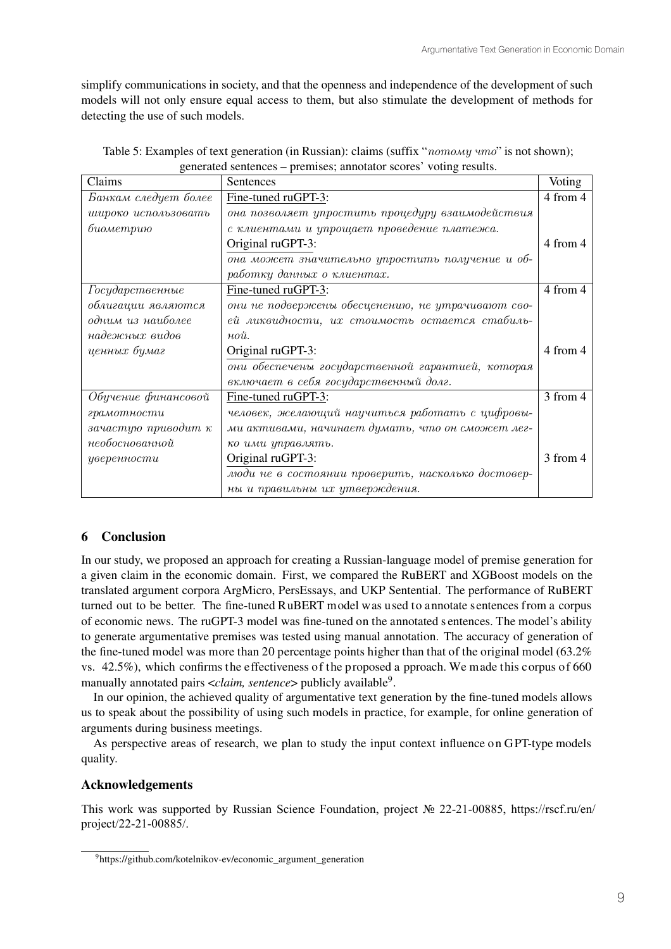simplify communications in society, and that the openness and independence of the development of such models will not only ensure equal access to them, but also stimulate the development of methods for detecting the use of such models.

| Claims               | Sentences                                          | Voting   |
|----------------------|----------------------------------------------------|----------|
| Банкам следует более | Fine-tuned ruGPT-3:                                | 4 from 4 |
| широко использовать  | она позволяет упростить процедуру взаимодействия   |          |
| биометрию            | с клиентами и упрощает проведение платежа.         |          |
|                      | Original ruGPT-3:                                  | 4 from 4 |
|                      | она может значительно упростить получение и об-    |          |
|                      | работку данных о клиентах.                         |          |
| Государственные      | Fine-tuned ruGPT-3:                                | 4 from 4 |
| облигации являются   | они не подвержены обесценению, не утрачивают сво-  |          |
| одним из наиболее    | ей ликвидности, их стоимость остается стабиль-     |          |
| надежных видов       | $n\delta u$ .                                      |          |
| ценных бумаг         | Original ruGPT-3:                                  | 4 from 4 |
|                      | они обеспечены государственной гарантией, которая  |          |
|                      | включает в себя государственный долг.              |          |
| Обучение финансовой  | Fine-tuned ruGPT-3:                                | 3 from 4 |
| грамотности          | человек, желающий научиться работать с цифровы-    |          |
| зачастую приводит к  | ми активами, начинает думать, что он сможет лег-   |          |
| необоснованной       | ко ими управлять.                                  |          |
| уверенности          | Original ruGPT-3:                                  | 3 from 4 |
|                      | люди не в состоянии проверить, насколько достовер- |          |
|                      | ны и правильны их утверждения.                     |          |

| Table 5: Examples of text generation (in Russian): claims (suffix "nomomy umo" is not shown); |  |
|-----------------------------------------------------------------------------------------------|--|
| generated sentences – premises; annotator scores' voting results.                             |  |

# 6 Conclusion

In our study, we proposed an approach for creating a Russian-language model of premise generation for a given claim in the economic domain. First, we compared the RuBERT and XGBoost models on the translated argument corpora ArgMicro, PersEssays, and UKP Sentential. The performance of RuBERT turned out to be better. The fine-tuned RuBERT model was used to annotate sentences from a corpus of economic news. The ruGPT-3 model was fine-tuned on the annotated s entences. The model's ability to generate argumentative premises was tested using manual annotation. The accuracy of generation of the fine-tuned model was more than 20 percentage points higher than that of the original model (63.2% vs.  $42.5\%$ ), which confirms the effectiveness of the proposed a pproach. We made this c orpus of 660 manually annotated pairs <*claim, sentence*> publicly available<sup>9</sup>.

In our opinion, the achieved quality of argumentative text generation by the fine-tuned models allows us to speak about the possibility of using such models in practice, for example, for online generation of arguments during business meetings.

As perspective areas of research, we plan to study the input context influence on GPT-type models quality.

# Acknowledgements

This work was supported by Russian Science Foundation, project № 22-21-00885, https://rscf.ru/en/ project/22-21-00885/.

<sup>&</sup>lt;sup>9</sup>https://github.com/kotelnikov-ev/economic\_argument\_generation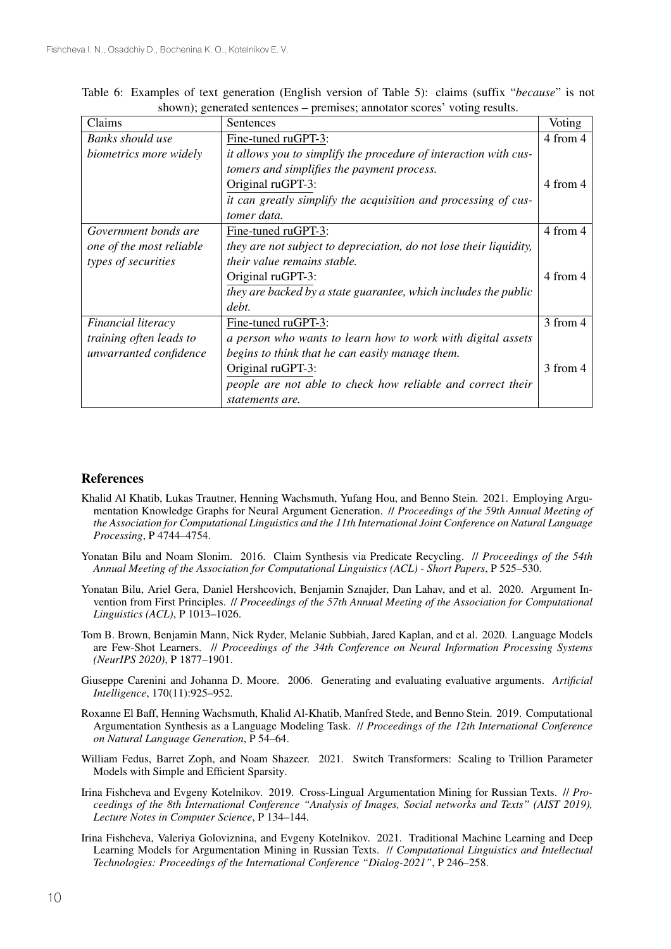| Claims                   | Sentences                                                          | Voting   |
|--------------------------|--------------------------------------------------------------------|----------|
| Banks should use         | Fine-tuned ruGPT-3:                                                | 4 from 4 |
| biometrics more widely   | it allows you to simplify the procedure of interaction with cus-   |          |
|                          | tomers and simplifies the payment process.                         |          |
|                          | Original ruGPT-3:                                                  | 4 from 4 |
|                          | it can greatly simplify the acquisition and processing of cus-     |          |
|                          | tomer data.                                                        |          |
| Government bonds are     | Fine-tuned ruGPT-3:                                                | 4 from 4 |
| one of the most reliable | they are not subject to depreciation, do not lose their liquidity, |          |
| types of securities      | <i>their value remains stable.</i>                                 |          |
|                          | Original ruGPT-3:                                                  | 4 from 4 |
|                          | they are backed by a state guarantee, which includes the public    |          |
|                          | debt.                                                              |          |
| Financial literacy       | Fine-tuned ruGPT-3:                                                | 3 from 4 |
| training often leads to  | a person who wants to learn how to work with digital assets        |          |
| unwarranted confidence   | begins to think that he can easily manage them.                    |          |
|                          | Original ruGPT-3:                                                  | 3 from 4 |
|                          | people are not able to check how reliable and correct their        |          |
|                          | statements are.                                                    |          |

Table 6: Examples of text generation (English version of Table 5): claims (suffix "*because*" is not shown); generated sentences – premises; annotator scores' voting results.

## References

- Khalid Al Khatib, Lukas Trautner, Henning Wachsmuth, Yufang Hou, and Benno Stein. 2021. Employing Argumentation Knowledge Graphs for Neural Argument Generation. // *Proceedings of the 59th Annual Meeting of the Association for Computational Linguistics and the 11th International Joint Conference on Natural Language Processing*, P 4744–4754.
- Yonatan Bilu and Noam Slonim. 2016. Claim Synthesis via Predicate Recycling. // *Proceedings of the 54th Annual Meeting of the Association for Computational Linguistics (ACL) - Short Papers*, P 525–530.
- Yonatan Bilu, Ariel Gera, Daniel Hershcovich, Benjamin Sznajder, Dan Lahav, and et al. 2020. Argument Invention from First Principles. // *Proceedings of the 57th Annual Meeting of the Association for Computational Linguistics (ACL)*, P 1013–1026.
- Tom B. Brown, Benjamin Mann, Nick Ryder, Melanie Subbiah, Jared Kaplan, and et al. 2020. Language Models are Few-Shot Learners. // *Proceedings of the 34th Conference on Neural Information Processing Systems (NeurIPS 2020)*, P 1877–1901.
- Giuseppe Carenini and Johanna D. Moore. 2006. Generating and evaluating evaluative arguments. *Artificial Intelligence*, 170(11):925–952.
- Roxanne El Baff, Henning Wachsmuth, Khalid Al-Khatib, Manfred Stede, and Benno Stein. 2019. Computational Argumentation Synthesis as a Language Modeling Task. // *Proceedings of the 12th International Conference on Natural Language Generation*, P 54–64.
- William Fedus, Barret Zoph, and Noam Shazeer. 2021. Switch Transformers: Scaling to Trillion Parameter Models with Simple and Efficient Sparsity.
- Irina Fishcheva and Evgeny Kotelnikov. 2019. Cross-Lingual Argumentation Mining for Russian Texts. // *Proceedings of the 8th International Conference "Analysis of Images, Social networks and Texts" (AIST 2019), Lecture Notes in Computer Science*, P 134–144.
- Irina Fishcheva, Valeriya Goloviznina, and Evgeny Kotelnikov. 2021. Traditional Machine Learning and Deep Learning Models for Argumentation Mining in Russian Texts. // *Computational Linguistics and Intellectual Technologies: Proceedings of the International Conference "Dialog-2021"*, P 246–258.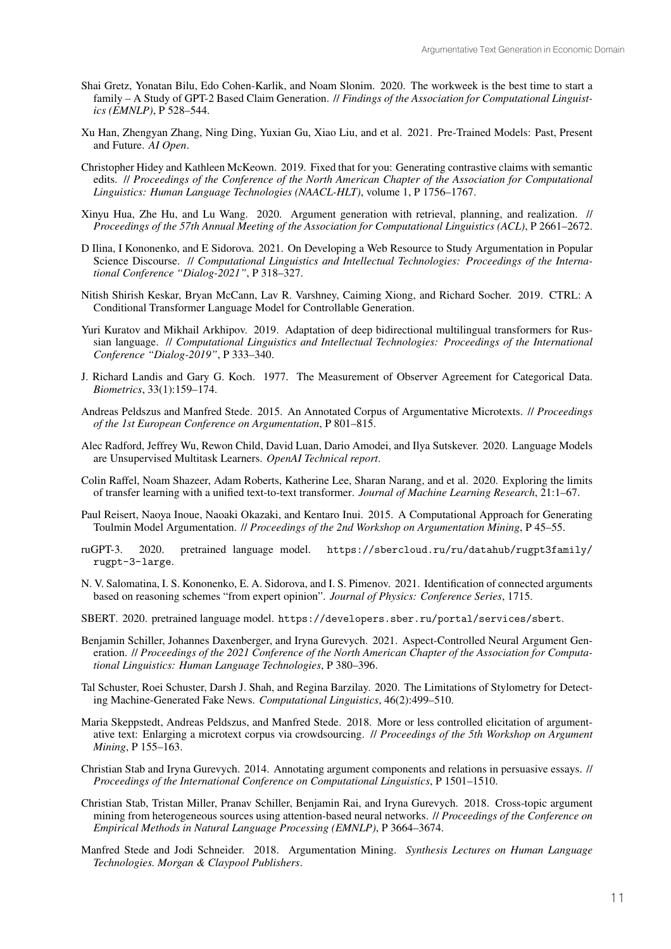- Shai Gretz, Yonatan Bilu, Edo Cohen-Karlik, and Noam Slonim. 2020. The workweek is the best time to start a family – A Study of GPT-2 Based Claim Generation. // *Findings of the Association for Computational Linguistics (EMNLP)*, P 528–544.
- Xu Han, Zhengyan Zhang, Ning Ding, Yuxian Gu, Xiao Liu, and et al. 2021. Pre-Trained Models: Past, Present and Future. *AI Open*.
- Christopher Hidey and Kathleen McKeown. 2019. Fixed that for you: Generating contrastive claims with semantic edits. // *Proceedings of the Conference of the North American Chapter of the Association for Computational Linguistics: Human Language Technologies (NAACL-HLT)*, volume 1, P 1756–1767.
- Xinyu Hua, Zhe Hu, and Lu Wang. 2020. Argument generation with retrieval, planning, and realization. // *Proceedings of the 57th Annual Meeting of the Association for Computational Linguistics (ACL)*, P 2661–2672.
- D Ilina, I Kononenko, and E Sidorova. 2021. On Developing a Web Resource to Study Argumentation in Popular Science Discourse. // *Computational Linguistics and Intellectual Technologies: Proceedings of the International Conference "Dialog-2021"*, P 318–327.
- Nitish Shirish Keskar, Bryan McCann, Lav R. Varshney, Caiming Xiong, and Richard Socher. 2019. CTRL: A Conditional Transformer Language Model for Controllable Generation.
- Yuri Kuratov and Mikhail Arkhipov. 2019. Adaptation of deep bidirectional multilingual transformers for Russian language. // *Computational Linguistics and Intellectual Technologies: Proceedings of the International Conference "Dialog-2019"*, P 333–340.
- J. Richard Landis and Gary G. Koch. 1977. The Measurement of Observer Agreement for Categorical Data. *Biometrics*, 33(1):159–174.
- Andreas Peldszus and Manfred Stede. 2015. An Annotated Corpus of Argumentative Microtexts. // *Proceedings of the 1st European Conference on Argumentation*, P 801–815.
- Alec Radford, Jeffrey Wu, Rewon Child, David Luan, Dario Amodei, and Ilya Sutskever. 2020. Language Models are Unsupervised Multitask Learners. *OpenAI Technical report*.
- Colin Raffel, Noam Shazeer, Adam Roberts, Katherine Lee, Sharan Narang, and et al. 2020. Exploring the limits of transfer learning with a unified text-to-text transformer. *Journal of Machine Learning Research*, 21:1–67.
- Paul Reisert, Naoya Inoue, Naoaki Okazaki, and Kentaro Inui. 2015. A Computational Approach for Generating Toulmin Model Argumentation. // *Proceedings of the 2nd Workshop on Argumentation Mining*, P 45–55.
- ruGPT-3. 2020. pretrained language model. https://sbercloud.ru/ru/datahub/rugpt3family/ rugpt-3-large.
- N. V. Salomatina, I. S. Kononenko, E. A. Sidorova, and I. S. Pimenov. 2021. Identification of connected arguments based on reasoning schemes "from expert opinion". *Journal of Physics: Conference Series*, 1715.
- SBERT. 2020. pretrained language model. https://developers.sber.ru/portal/services/sbert.
- Benjamin Schiller, Johannes Daxenberger, and Iryna Gurevych. 2021. Aspect-Controlled Neural Argument Generation. // *Proceedings of the 2021 Conference of the North American Chapter of the Association for Computational Linguistics: Human Language Technologies*, P 380–396.
- Tal Schuster, Roei Schuster, Darsh J. Shah, and Regina Barzilay. 2020. The Limitations of Stylometry for Detecting Machine-Generated Fake News. *Computational Linguistics*, 46(2):499–510.
- Maria Skeppstedt, Andreas Peldszus, and Manfred Stede. 2018. More or less controlled elicitation of argumentative text: Enlarging a microtext corpus via crowdsourcing. // *Proceedings of the 5th Workshop on Argument Mining*, P 155–163.
- Christian Stab and Iryna Gurevych. 2014. Annotating argument components and relations in persuasive essays. // *Proceedings of the International Conference on Computational Linguistics*, P 1501–1510.
- Christian Stab, Tristan Miller, Pranav Schiller, Benjamin Rai, and Iryna Gurevych. 2018. Cross-topic argument mining from heterogeneous sources using attention-based neural networks. // *Proceedings of the Conference on Empirical Methods in Natural Language Processing (EMNLP)*, P 3664–3674.
- Manfred Stede and Jodi Schneider. 2018. Argumentation Mining. *Synthesis Lectures on Human Language Technologies. Morgan & Claypool Publishers*.